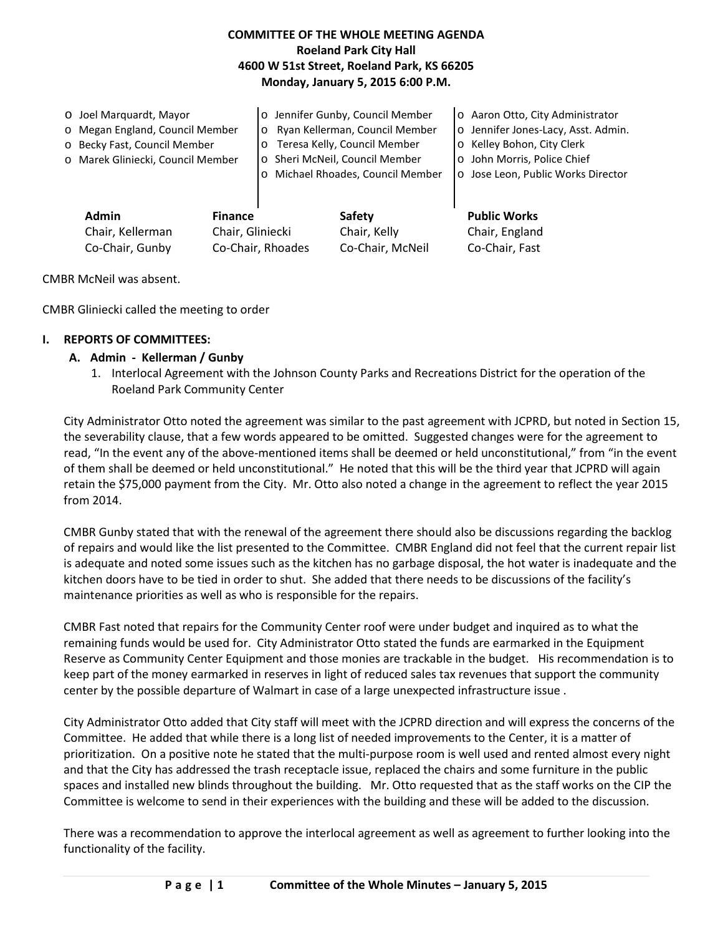## **COMMITTEE OF THE WHOLE MEETING AGENDA Roeland Park City Hall 4600 W 51st Street, Roeland Park, KS 66205 Monday, January 5, 2015 6:00 P.M.**

|  | o Joel Marguardt, Mayor                                                |  | o Jennifer Gunby, Council Member          |                                   | o Aaron Otto, City Administrator     |
|--|------------------------------------------------------------------------|--|-------------------------------------------|-----------------------------------|--------------------------------------|
|  | o Megan England, Council Member                                        |  | Ryan Kellerman, Council Member<br>$\circ$ |                                   | o Jennifer Jones-Lacy, Asst. Admin.  |
|  | o Becky Fast, Council Member                                           |  | o Teresa Kelly, Council Member            |                                   | o Kelley Bohon, City Clerk           |
|  | o Marek Gliniecki, Council Member                                      |  | o Sheri McNeil, Council Member            |                                   | John Morris, Police Chief<br>$\circ$ |
|  |                                                                        |  |                                           | o Michael Rhoades, Council Member | o Jose Leon, Public Works Director   |
|  |                                                                        |  |                                           |                                   |                                      |
|  | <b>Admin</b><br><b>Finance</b><br>Chair, Gliniecki<br>Chair, Kellerman |  |                                           |                                   |                                      |
|  |                                                                        |  |                                           | <b>Safety</b>                     | <b>Public Works</b>                  |
|  |                                                                        |  |                                           | Chair, Kelly                      | Chair, England                       |

Co-Chair, Gunby Co-Chair, Rhoades Co-Chair, McNeil Co-Chair, Fast

CMBR McNeil was absent.

CMBR Gliniecki called the meeting to order

#### **I. REPORTS OF COMMITTEES:**

#### **A. Admin - Kellerman / Gunby**

1. Interlocal Agreement with the Johnson County Parks and Recreations District for the operation of the Roeland Park Community Center

City Administrator Otto noted the agreement was similar to the past agreement with JCPRD, but noted in Section 15, the severability clause, that a few words appeared to be omitted. Suggested changes were for the agreement to read, "In the event any of the above-mentioned items shall be deemed or held unconstitutional," from "in the event of them shall be deemed or held unconstitutional." He noted that this will be the third year that JCPRD will again retain the \$75,000 payment from the City. Mr. Otto also noted a change in the agreement to reflect the year 2015 from 2014.

CMBR Gunby stated that with the renewal of the agreement there should also be discussions regarding the backlog of repairs and would like the list presented to the Committee. CMBR England did not feel that the current repair list is adequate and noted some issues such as the kitchen has no garbage disposal, the hot water is inadequate and the kitchen doors have to be tied in order to shut. She added that there needs to be discussions of the facility's maintenance priorities as well as who is responsible for the repairs.

CMBR Fast noted that repairs for the Community Center roof were under budget and inquired as to what the remaining funds would be used for. City Administrator Otto stated the funds are earmarked in the Equipment Reserve as Community Center Equipment and those monies are trackable in the budget. His recommendation is to keep part of the money earmarked in reserves in light of reduced sales tax revenues that support the community center by the possible departure of Walmart in case of a large unexpected infrastructure issue .

City Administrator Otto added that City staff will meet with the JCPRD direction and will express the concerns of the Committee. He added that while there is a long list of needed improvements to the Center, it is a matter of prioritization. On a positive note he stated that the multi-purpose room is well used and rented almost every night and that the City has addressed the trash receptacle issue, replaced the chairs and some furniture in the public spaces and installed new blinds throughout the building. Mr. Otto requested that as the staff works on the CIP the Committee is welcome to send in their experiences with the building and these will be added to the discussion.

There was a recommendation to approve the interlocal agreement as well as agreement to further looking into the functionality of the facility.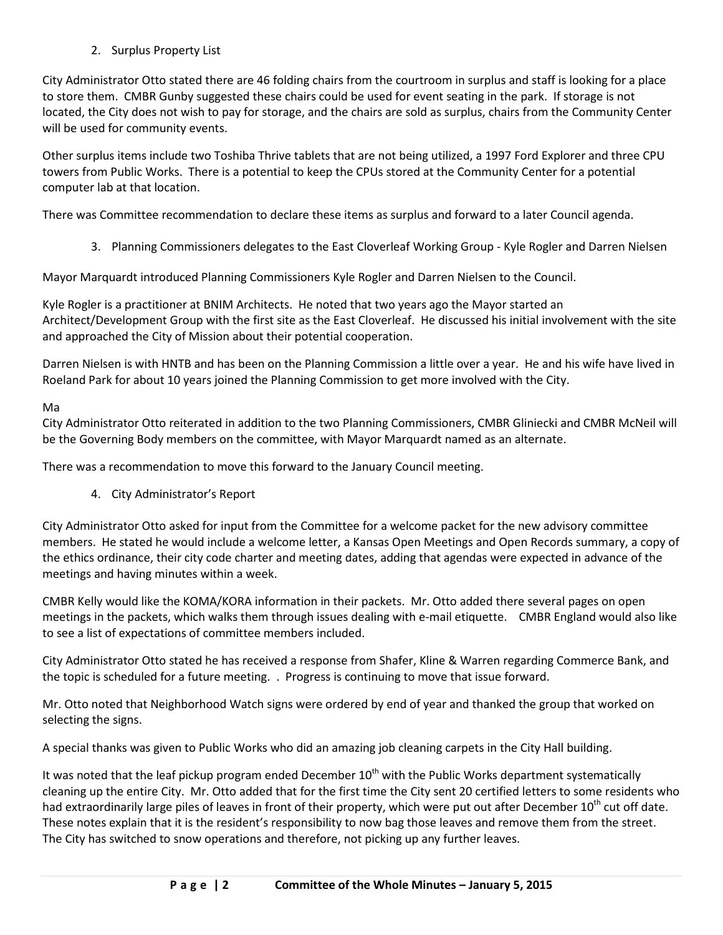2. Surplus Property List

City Administrator Otto stated there are 46 folding chairs from the courtroom in surplus and staff is looking for a place to store them. CMBR Gunby suggested these chairs could be used for event seating in the park. If storage is not located, the City does not wish to pay for storage, and the chairs are sold as surplus, chairs from the Community Center will be used for community events.

Other surplus items include two Toshiba Thrive tablets that are not being utilized, a 1997 Ford Explorer and three CPU towers from Public Works. There is a potential to keep the CPUs stored at the Community Center for a potential computer lab at that location.

There was Committee recommendation to declare these items as surplus and forward to a later Council agenda.

3. Planning Commissioners delegates to the East Cloverleaf Working Group - Kyle Rogler and Darren Nielsen

Mayor Marquardt introduced Planning Commissioners Kyle Rogler and Darren Nielsen to the Council.

Kyle Rogler is a practitioner at BNIM Architects. He noted that two years ago the Mayor started an Architect/Development Group with the first site as the East Cloverleaf. He discussed his initial involvement with the site and approached the City of Mission about their potential cooperation.

Darren Nielsen is with HNTB and has been on the Planning Commission a little over a year. He and his wife have lived in Roeland Park for about 10 years joined the Planning Commission to get more involved with the City.

## Ma

City Administrator Otto reiterated in addition to the two Planning Commissioners, CMBR Gliniecki and CMBR McNeil will be the Governing Body members on the committee, with Mayor Marquardt named as an alternate.

There was a recommendation to move this forward to the January Council meeting.

4. City Administrator's Report

City Administrator Otto asked for input from the Committee for a welcome packet for the new advisory committee members. He stated he would include a welcome letter, a Kansas Open Meetings and Open Records summary, a copy of the ethics ordinance, their city code charter and meeting dates, adding that agendas were expected in advance of the meetings and having minutes within a week.

CMBR Kelly would like the KOMA/KORA information in their packets. Mr. Otto added there several pages on open meetings in the packets, which walks them through issues dealing with e-mail etiquette. CMBR England would also like to see a list of expectations of committee members included.

City Administrator Otto stated he has received a response from Shafer, Kline & Warren regarding Commerce Bank, and the topic is scheduled for a future meeting. . Progress is continuing to move that issue forward.

Mr. Otto noted that Neighborhood Watch signs were ordered by end of year and thanked the group that worked on selecting the signs.

A special thanks was given to Public Works who did an amazing job cleaning carpets in the City Hall building.

It was noted that the leaf pickup program ended December  $10^{th}$  with the Public Works department systematically cleaning up the entire City. Mr. Otto added that for the first time the City sent 20 certified letters to some residents who had extraordinarily large piles of leaves in front of their property, which were put out after December  $10^{th}$  cut off date. These notes explain that it is the resident's responsibility to now bag those leaves and remove them from the street. The City has switched to snow operations and therefore, not picking up any further leaves.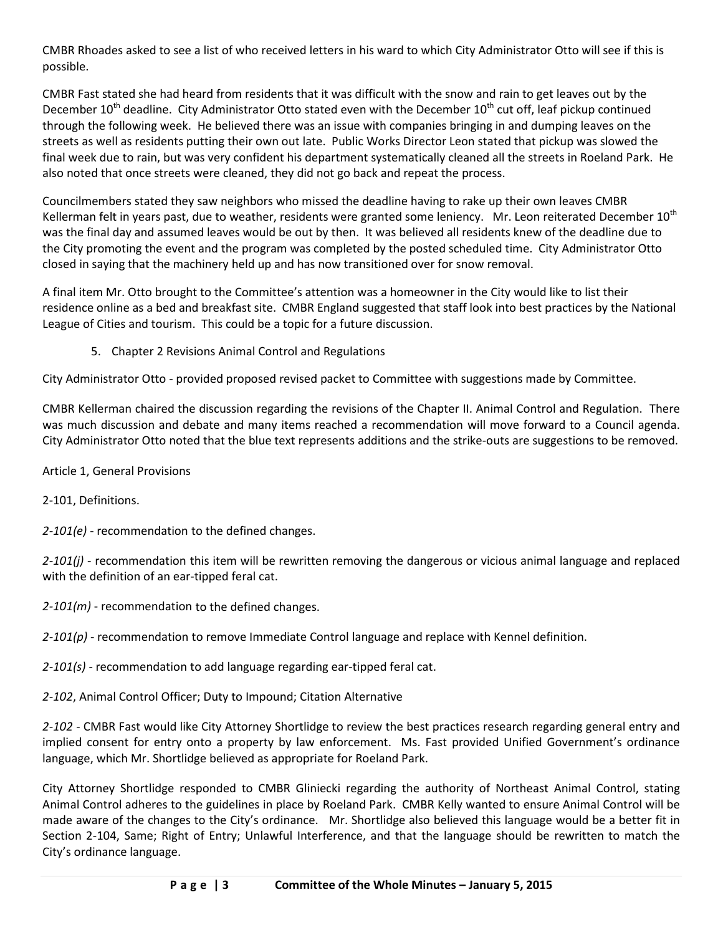CMBR Rhoades asked to see a list of who received letters in his ward to which City Administrator Otto will see if this is possible.

CMBR Fast stated she had heard from residents that it was difficult with the snow and rain to get leaves out by the December  $10^{th}$  deadline. City Administrator Otto stated even with the December  $10^{th}$  cut off, leaf pickup continued through the following week. He believed there was an issue with companies bringing in and dumping leaves on the streets as well as residents putting their own out late. Public Works Director Leon stated that pickup was slowed the final week due to rain, but was very confident his department systematically cleaned all the streets in Roeland Park. He also noted that once streets were cleaned, they did not go back and repeat the process.

Councilmembers stated they saw neighbors who missed the deadline having to rake up their own leaves CMBR Kellerman felt in years past, due to weather, residents were granted some leniency. Mr. Leon reiterated December  $10<sup>th</sup>$ was the final day and assumed leaves would be out by then. It was believed all residents knew of the deadline due to the City promoting the event and the program was completed by the posted scheduled time. City Administrator Otto closed in saying that the machinery held up and has now transitioned over for snow removal.

A final item Mr. Otto brought to the Committee's attention was a homeowner in the City would like to list their residence online as a bed and breakfast site. CMBR England suggested that staff look into best practices by the National League of Cities and tourism. This could be a topic for a future discussion.

5. Chapter 2 Revisions Animal Control and Regulations

City Administrator Otto - provided proposed revised packet to Committee with suggestions made by Committee.

CMBR Kellerman chaired the discussion regarding the revisions of the Chapter II. Animal Control and Regulation. There was much discussion and debate and many items reached a recommendation will move forward to a Council agenda. City Administrator Otto noted that the blue text represents additions and the strike-outs are suggestions to be removed.

Article 1, General Provisions

2-101, Definitions.

*2-101(e)* - recommendation to the defined changes.

*2-101(j)* - recommendation this item will be rewritten removing the dangerous or vicious animal language and replaced with the definition of an ear-tipped feral cat.

*2-101(m)* - recommendation to the defined changes.

2-101(p) - recommendation to remove Immediate Control language and replace with Kennel definition.

*2-101(s)* - recommendation to add language regarding ear-tipped feral cat.

*2-102*, Animal Control Officer; Duty to Impound; Citation Alternative

*2-102* - CMBR Fast would like City Attorney Shortlidge to review the best practices research regarding general entry and implied consent for entry onto a property by law enforcement. Ms. Fast provided Unified Government's ordinance language, which Mr. Shortlidge believed as appropriate for Roeland Park.

City Attorney Shortlidge responded to CMBR Gliniecki regarding the authority of Northeast Animal Control, stating Animal Control adheres to the guidelines in place by Roeland Park. CMBR Kelly wanted to ensure Animal Control will be made aware of the changes to the City's ordinance. Mr. Shortlidge also believed this language would be a better fit in Section 2-104, Same; Right of Entry; Unlawful Interference, and that the language should be rewritten to match the City's ordinance language.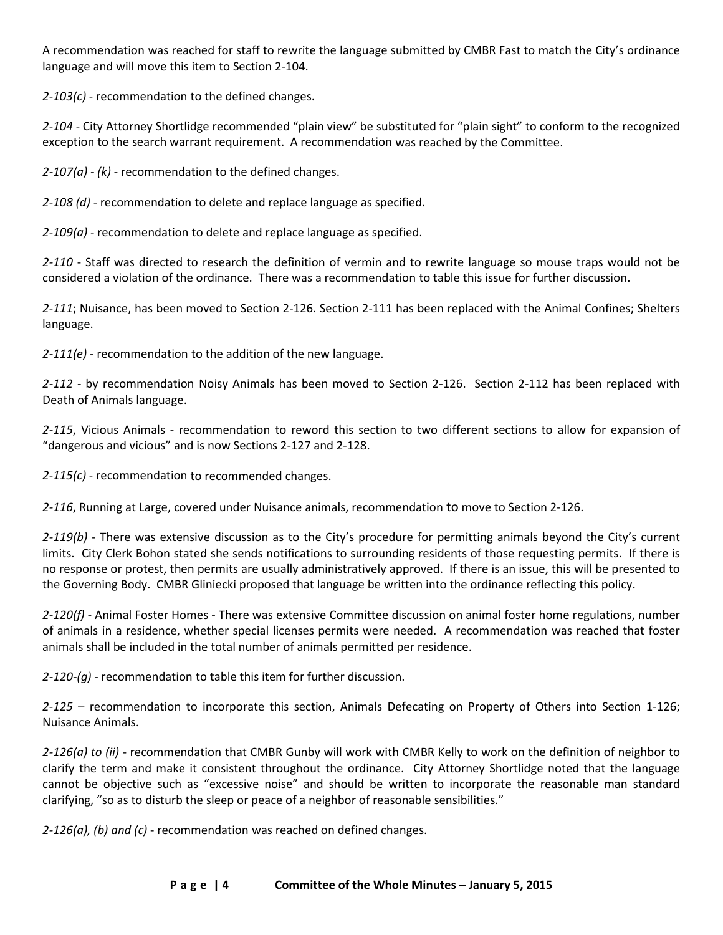A recommendation was reached for staff to rewrite the language submitted by CMBR Fast to match the City's ordinance language and will move this item to Section 2-104.

*2-103(c)* - recommendation to the defined changes.

*2-104* - City Attorney Shortlidge recommended "plain view" be substituted for "plain sight" to conform to the recognized exception to the search warrant requirement. A recommendation was reached by the Committee.

*2-107(a) - (k)* - recommendation to the defined changes.

*2-108 (d)* - recommendation to delete and replace language as specified.

*2-109(a)* - recommendation to delete and replace language as specified.

*2-110* - Staff was directed to research the definition of vermin and to rewrite language so mouse traps would not be considered a violation of the ordinance. There was a recommendation to table this issue for further discussion.

*2-111*; Nuisance, has been moved to Section 2-126. Section 2-111 has been replaced with the Animal Confines; Shelters language.

*2-111(e)* - recommendation to the addition of the new language.

*2-112* - by recommendation Noisy Animals has been moved to Section 2-126. Section 2-112 has been replaced with Death of Animals language.

*2-115*, Vicious Animals - recommendation to reword this section to two different sections to allow for expansion of "dangerous and vicious" and is now Sections 2-127 and 2-128.

*2-115(c)* - recommendation to recommended changes.

*2-116*, Running at Large, covered under Nuisance animals, recommendation to move to Section 2-126.

*2-119(b)* - There was extensive discussion as to the City's procedure for permitting animals beyond the City's current limits. City Clerk Bohon stated she sends notifications to surrounding residents of those requesting permits. If there is no response or protest, then permits are usually administratively approved. If there is an issue, this will be presented to the Governing Body. CMBR Gliniecki proposed that language be written into the ordinance reflecting this policy.

*2-120(f)* - Animal Foster Homes - There was extensive Committee discussion on animal foster home regulations, number of animals in a residence, whether special licenses permits were needed. A recommendation was reached that foster animals shall be included in the total number of animals permitted per residence.

*2-120-(g)* - recommendation to table this item for further discussion.

*2-125* – recommendation to incorporate this section, Animals Defecating on Property of Others into Section 1-126; Nuisance Animals.

*2-126(a) to (ii)* - recommendation that CMBR Gunby will work with CMBR Kelly to work on the definition of neighbor to clarify the term and make it consistent throughout the ordinance. City Attorney Shortlidge noted that the language cannot be objective such as "excessive noise" and should be written to incorporate the reasonable man standard clarifying, "so as to disturb the sleep or peace of a neighbor of reasonable sensibilities."

*2-126(a), (b) and (c)* - recommendation was reached on defined changes.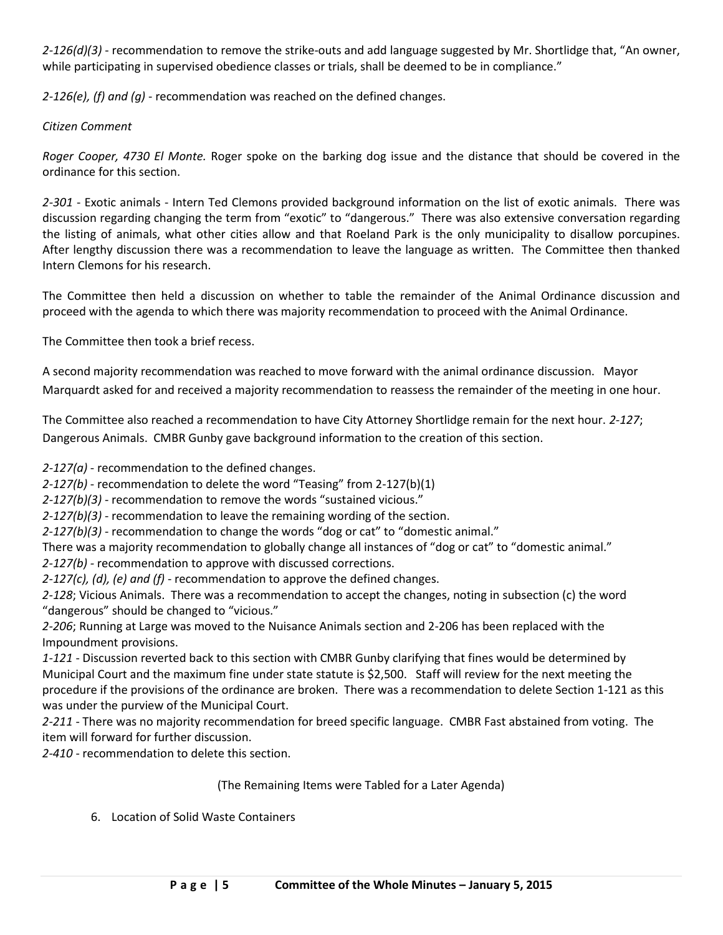*2-126(d)(3)* - recommendation to remove the strike-outs and add language suggested by Mr. Shortlidge that, "An owner, while participating in supervised obedience classes or trials, shall be deemed to be in compliance."

*2-126(e), (f) and (g)* - recommendation was reached on the defined changes.

#### *Citizen Comment*

*Roger Cooper, 4730 El Monte.* Roger spoke on the barking dog issue and the distance that should be covered in the ordinance for this section.

*2-301* - Exotic animals - Intern Ted Clemons provided background information on the list of exotic animals. There was discussion regarding changing the term from "exotic" to "dangerous." There was also extensive conversation regarding the listing of animals, what other cities allow and that Roeland Park is the only municipality to disallow porcupines. After lengthy discussion there was a recommendation to leave the language as written. The Committee then thanked Intern Clemons for his research.

The Committee then held a discussion on whether to table the remainder of the Animal Ordinance discussion and proceed with the agenda to which there was majority recommendation to proceed with the Animal Ordinance.

The Committee then took a brief recess.

A second majority recommendation was reached to move forward with the animal ordinance discussion. Mayor Marquardt asked for and received a majority recommendation to reassess the remainder of the meeting in one hour.

The Committee also reached a recommendation to have City Attorney Shortlidge remain for the next hour. *2-127*; Dangerous Animals. CMBR Gunby gave background information to the creation of this section.

*2-127(a)* - recommendation to the defined changes.

*2-127(b)* - recommendation to delete the word "Teasing" from 2-127(b)(1)

*2-127(b)(3)* - recommendation to remove the words "sustained vicious."

*2-127(b)(3)* - recommendation to leave the remaining wording of the section.

*2-127(b)(3)* - recommendation to change the words "dog or cat" to "domestic animal."

There was a majority recommendation to globally change all instances of "dog or cat" to "domestic animal."

*2-127(b) -* recommendation to approve with discussed corrections.

*2-127(c), (d), (e) and (f)* - recommendation to approve the defined changes.

*2-128*; Vicious Animals. There was a recommendation to accept the changes, noting in subsection (c) the word "dangerous" should be changed to "vicious."

*2-206*; Running at Large was moved to the Nuisance Animals section and 2-206 has been replaced with the Impoundment provisions.

*1-121* - Discussion reverted back to this section with CMBR Gunby clarifying that fines would be determined by Municipal Court and the maximum fine under state statute is \$2,500. Staff will review for the next meeting the procedure if the provisions of the ordinance are broken. There was a recommendation to delete Section 1-121 as this was under the purview of the Municipal Court.

*2-211* - There was no majority recommendation for breed specific language. CMBR Fast abstained from voting. The item will forward for further discussion.

*2-410* - recommendation to delete this section.

## (The Remaining Items were Tabled for a Later Agenda)

6. Location of Solid Waste Containers